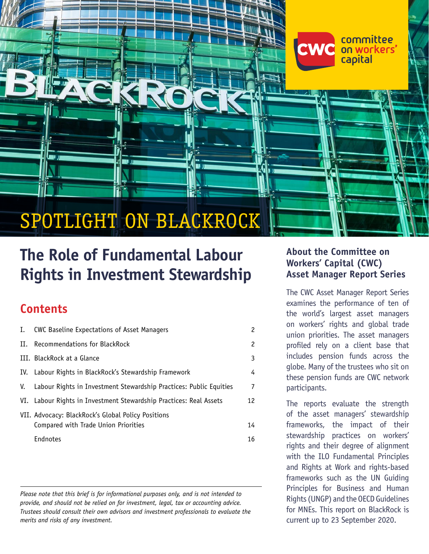# SPOTLIGHT ON BLACKROCK

[Committee on Workers' Capital \(CWC\)](https://www.workerscapital.org/) | **SPOTLIGHT ON BLACKROCK** <sup>|</sup> **The Role of Fundamental Labour Rights in Investment Stewardship 1**

# **The Role of Fundamental Labour Rights in Investment Stewardship**

# **Contents**

| Ι. | <b>CWC Baseline Expectations of Asset Managers</b>                 | 2  |
|----|--------------------------------------------------------------------|----|
| Н. | Recommendations for BlackRock                                      | 2  |
|    | III. BlackRock at a Glance                                         | 3  |
|    | IV. Labour Rights in BlackRock's Stewardship Framework             | 4  |
| V. | Labour Rights in Investment Stewardship Practices: Public Equities | 7  |
|    | VI. Labour Rights in Investment Stewardship Practices: Real Assets | 12 |
|    | VII. Advocacy: BlackRock's Global Policy Positions                 |    |
|    | Compared with Trade Union Priorities                               | 14 |
|    | Endnotes                                                           | 16 |

*Please note that this brief is for informational purposes only, and is not intended to provide, and should not be relied on for investment, legal, tax or accounting advice. Trustees should consult their own advisors and investment professionals to evaluate the merits and risks of any investment.*

### **About the Committee on Workers' Capital (CWC) Asset Manager Report Series**

committee on workers'

capital

The CWC Asset Manager Report Series examines the performance of ten of the world's largest asset managers on workers' rights and global trade union priorities. The asset managers profiled rely on a client base that includes pension funds across the globe. Many of the trustees who sit on these pension funds are CWC network participants.

The reports evaluate the strength of the asset managers' stewardship frameworks, the impact of their stewardship practices on workers' rights and their degree of alignment with the ILO Fundamental Principles and Rights at Work and rights-based frameworks such as the UN Guiding Principles for Business and Human Rights (UNGP) and the OECD Guidelines for MNEs. This report on BlackRock is current up to 23 September 2020.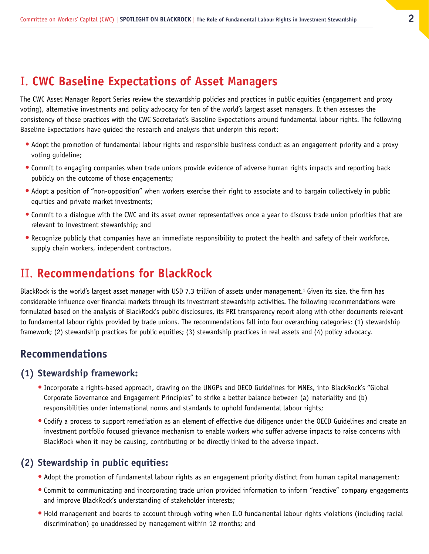# <span id="page-1-0"></span>I. **CWC Baseline Expectations of Asset Managers**

The CWC Asset Manager Report Series review the stewardship policies and practices in public equities (engagement and proxy voting), alternative investments and policy advocacy for ten of the world's largest asset managers. It then assesses the consistency of those practices with the CWC Secretariat's Baseline Expectations around fundamental labour rights. The following Baseline Expectations have guided the research and analysis that underpin this report:

- **•** Adopt the promotion of fundamental labour rights and responsible business conduct as an engagement priority and a proxy voting guideline;
- **•** Commit to engaging companies when trade unions provide evidence of adverse human rights impacts and reporting back publicly on the outcome of those engagements;
- **•** Adopt a position of "non-opposition" when workers exercise their right to associate and to bargain collectively in public equities and private market investments;
- **•** Commit to a dialogue with the CWC and its asset owner representatives once a year to discuss trade union priorities that are relevant to investment stewardship; and
- **•** Recognize publicly that companies have an immediate responsibility to protect the health and safety of their workforce, supply chain workers, independent contractors.

# II. **Recommendations for BlackRock**

BlackRock is the world's largest asset manager with USD 7.3 trillion of assets under management.<sup>1</sup> Given its size, the firm has considerable influence over financial markets through its investment stewardship activities. The following recommendations were formulated based on the analysis of BlackRock's public disclosures, its PRI transparency report along with other documents relevant to fundamental labour rights provided by trade unions. The recommendations fall into four overarching categories: (1) stewardship framework; (2) stewardship practices for public equities; (3) stewardship practices in real assets and (4) policy advocacy.

### **Recommendations**

#### **(1) Stewardship framework:**

- **•** Incorporate a rights-based approach, drawing on the UNGPs and OECD Guidelines for MNEs, into BlackRock's "Global Corporate Governance and Engagement Principles" to strike a better balance between (a) materiality and (b) responsibilities under international norms and standards to uphold fundamental labour rights;
- **•** Codify a process to support remediation as an element of effective due diligence under the OECD Guidelines and create an investment portfolio focused grievance mechanism to enable workers who suffer adverse impacts to raise concerns with BlackRock when it may be causing, contributing or be directly linked to the adverse impact.

#### **(2) Stewardship in public equities:**

- **•** Adopt the promotion of fundamental labour rights as an engagement priority distinct from human capital management;
- **•** Commit to communicating and incorporating trade union provided information to inform "reactive" company engagements and improve BlackRock's understanding of stakeholder interests;
- **•** Hold management and boards to account through voting when ILO fundamental labour rights violations (including racial discrimination) go unaddressed by management within 12 months; and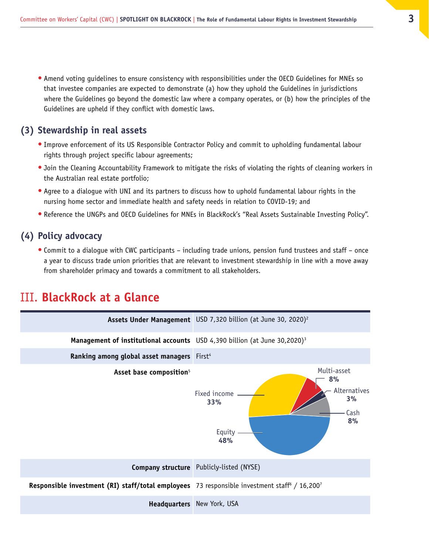<span id="page-2-0"></span>**•** Amend voting guidelines to ensure consistency with responsibilities under the OECD Guidelines for MNEs so that investee companies are expected to demonstrate (a) how they uphold the Guidelines in jurisdictions where the Guidelines go beyond the domestic law where a company operates, or (b) how the principles of the Guidelines are upheld if they conflict with domestic laws.

#### **(3) Stewardship in real assets**

- **•** Improve enforcement of its US Responsible Contractor Policy and commit to upholding fundamental labour rights through project specific labour agreements;
- **•** Join the Cleaning Accountability Framework to mitigate the risks of violating the rights of cleaning workers in the Australian real estate portfolio;
- **•** Agree to a dialogue with UNI and its partners to discuss how to uphold fundamental labour rights in the nursing home sector and immediate health and safety needs in relation to COVID-19; and
- **•** Reference the UNGPs and OECD Guidelines for MNEs in BlackRock's "Real Assets Sustainable Investing Policy".

#### **(4) Policy advocacy**

**•** Commit to a dialogue with CWC participants – including trade unions, pension fund trustees and staff – once a year to discuss trade union priorities that are relevant to investment stewardship in line with a move away from shareholder primacy and towards a commitment to all stakeholders.

# III. **BlackRock at a Glance**

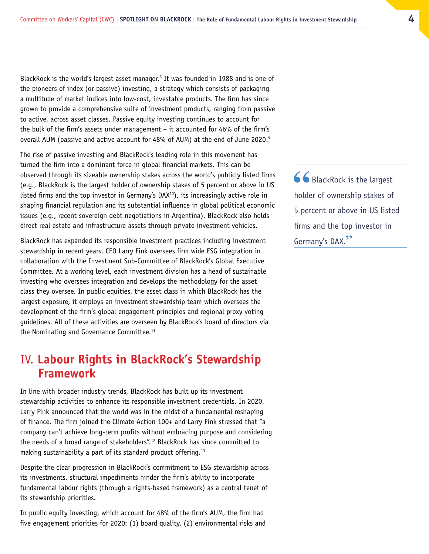<span id="page-3-0"></span>BlackRock is the world's largest asset manager.<sup>8</sup> It was founded in 1988 and is one of the pioneers of index (or passive) investing, a strategy which consists of packaging a multitude of market indices into low-cost, investable products. The firm has since grown to provide a comprehensive suite of investment products, ranging from passive to active, across asset classes. Passive equity investing continues to account for the bulk of the firm's assets under management – it accounted for 46% of the firm's overall AUM (passive and active account for 48% of AUM) at the end of June 2020.<sup>9</sup>

The rise of passive investing and BlackRock's leading role in this movement has turned the firm into a dominant force in global financial markets. This can be observed through its sizeable ownership stakes across the world's publicly listed firms (e.g., BlackRock is the largest holder of ownership stakes of 5 percent or above in US listed firms and the top investor in Germany's  $DAX<sup>10</sup>$ , its increasingly active role in shaping financial regulation and its substantial influence in global political economic issues (e.g., recent sovereign debt negotiations in Argentina). BlackRock also holds direct real estate and infrastructure assets through private investment vehicles.

BlackRock has expanded its responsible investment practices including investment stewardship in recent years. CEO Larry Fink oversees firm wide ESG integration in collaboration with the Investment Sub-Committee of BlackRock's Global Executive Committee. At a working level, each investment division has a head of sustainable investing who oversees integration and develops the methodology for the asset class they oversee. In public equities, the asset class in which BlackRock has the largest exposure, it employs an investment stewardship team which oversees the development of the firm's global engagement principles and regional proxy voting guidelines. All of these activities are overseen by BlackRock's board of directors via the Nominating and Governance Committee.<sup>11</sup>

# IV. **Labour Rights in BlackRock's Stewardship Framework**

In line with broader industry trends, BlackRock has built up its investment stewardship activities to enhance its responsible investment credentials. In 2020, Larry Fink announced that the world was in the midst of a fundamental reshaping of finance. The firm joined the Climate Action 100+ and Larry Fink stressed that "a company can't achieve long-term profits without embracing purpose and considering the needs of a broad range of stakeholders".12 BlackRock has since committed to making sustainability a part of its standard product offering.13

Despite the clear progression in BlackRock's commitment to ESG stewardship across its investments, structural impediments hinder the firm's ability to incorporate fundamental labour rights (through a rights-based framework) as a central tenet of its stewardship priorities.

In public equity investing, which account for 48% of the firm's AUM, the firm had five engagement priorities for 2020: (1) board quality, (2) environmental risks and 66 BlackRock is the largest holder of ownership stakes of 5 percent or above in US listed firms and the top investor in Germany's DAX.**"**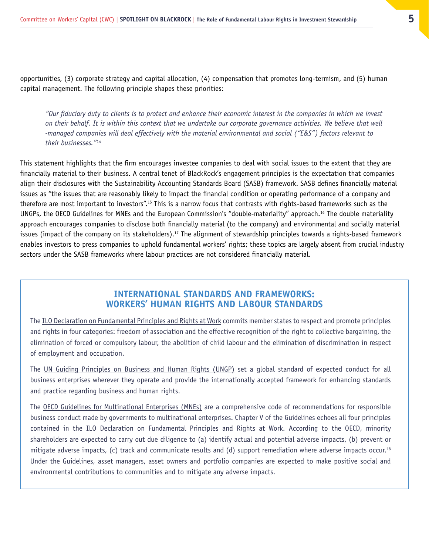opportunities, (3) corporate strategy and capital allocation, (4) compensation that promotes long-termism, and (5) human capital management. The following principle shapes these priorities:

*"Our fiduciary duty to clients is to protect and enhance their economic interest in the companies in which we invest on their behalf. It is within this context that we undertake our corporate governance activities. We believe that well -managed companies will deal effectively with the material environmental and social ("E&S") factors relevant to their businesses."*<sup>14</sup>

This statement highlights that the firm encourages investee companies to deal with social issues to the extent that they are financially material to their business. A central tenet of BlackRock's engagement principles is the expectation that companies align their disclosures with the Sustainability Accounting Standards Board (SASB) framework. SASB defines financially material issues as "the issues that are reasonably likely to impact the financial condition or operating performance of a company and therefore are most important to investors".<sup>15</sup> This is a narrow focus that contrasts with rights-based frameworks such as the UNGPs, the OECD Guidelines for MNEs and the European Commission's "double-materiality" approach.16 The double materiality approach encourages companies to disclose both financially material (to the company) and environmental and socially material issues (impact of the company on its stakeholders).<sup>17</sup> The alignment of stewardship principles towards a rights-based framework enables investors to press companies to uphold fundamental workers' rights; these topics are largely absent from crucial industry sectors under the SASB frameworks where labour practices are not considered financially material.

#### **INTERNATIONAL STANDARDS AND FRAMEWORKS: WORKERS' HUMAN RIGHTS AND LABOUR STANDARDS**

The [ILO Declaration on Fundamental Principles and Rights at Work](https://www.ilo.org/declaration/lang--en/index.htm) commits member states to respect and promote principles and rights in four categories: freedom of association and the effective recognition of the right to collective bargaining, the elimination of forced or compulsory labour, the abolition of child labour and the elimination of discrimination in respect of employment and occupation.

The [UN Guiding Principles on Business and Human Rights \(UNGP\)](https://www.ohchr.org/Documents/Publications/GuidingPrinciplesBusinessHR_EN.pdf) set a global standard of expected conduct for all business enterprises wherever they operate and provide the internationally accepted framework for enhancing standards and practice regarding business and human rights.

The [OECD Guidelines for Multinational Enterprises \(MNEs\)](https://mneguidelines.oecd.org/guidelines/) are a comprehensive code of recommendations for responsible business conduct made by governments to multinational enterprises. Chapter V of the Guidelines echoes all four principles contained in the ILO Declaration on Fundamental Principles and Rights at Work. According to the OECD, minority shareholders are expected to carry out due diligence to (a) identify actual and potential adverse impacts, (b) prevent or mitigate adverse impacts, (c) track and communicate results and (d) support remediation where adverse impacts occur.<sup>18</sup> Under the Guidelines, asset managers, asset owners and portfolio companies are expected to make positive social and environmental contributions to communities and to mitigate any adverse impacts.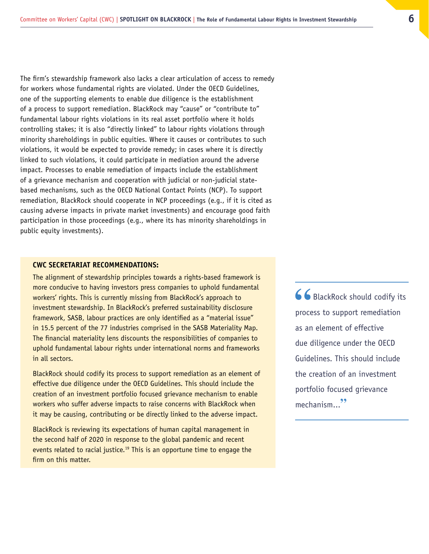<span id="page-5-0"></span>The firm's stewardship framework also lacks a clear articulation of access to remedy for workers whose fundamental rights are violated. Under the OECD Guidelines, one of the supporting elements to enable due diligence is the establishment of a process to support remediation. BlackRock may "cause" or "contribute to" fundamental labour rights violations in its real asset portfolio where it holds controlling stakes; it is also "directly linked" to labour rights violations through minority shareholdings in public equities. Where it causes or contributes to such violations, it would be expected to provide remedy; in cases where it is directly linked to such violations, it could participate in mediation around the adverse impact. Processes to enable remediation of impacts include the establishment of a grievance mechanism and cooperation with judicial or non-judicial statebased mechanisms, such as the OECD National Contact Points (NCP). To support remediation, BlackRock should cooperate in NCP proceedings (e.g., if it is cited as causing adverse impacts in private market investments) and encourage good faith participation in those proceedings (e.g., where its has minority shareholdings in public equity investments).

#### **CWC SECRETARIAT RECOMMENDATIONS:**

The alignment of stewardship principles towards a rights-based framework is more conducive to having investors press companies to uphold fundamental workers' rights. This is currently missing from BlackRock's approach to investment stewardship. In BlackRock's preferred sustainability disclosure framework, SASB, labour practices are only identified as a "material issue" in 15.5 percent of the 77 industries comprised in the SASB Materiality Map. The financial materiality lens discounts the responsibilities of companies to uphold fundamental labour rights under international norms and frameworks in all sectors.

BlackRock should codify its process to support remediation as an element of effective due diligence under the OECD Guidelines. This should include the creation of an investment portfolio focused grievance mechanism to enable workers who suffer adverse impacts to raise concerns with BlackRock when it may be causing, contributing or be directly linked to the adverse impact.

BlackRock is reviewing its expectations of human capital management in the second half of 2020 in response to the global pandemic and recent events related to racial justice.<sup>19</sup> This is an opportune time to engage the firm on this matter.

66 BlackRock should codify its process to support remediation as an element of effective due diligence under the OECD Guidelines. This should include the creation of an investment portfolio focused grievance mechanism...**"**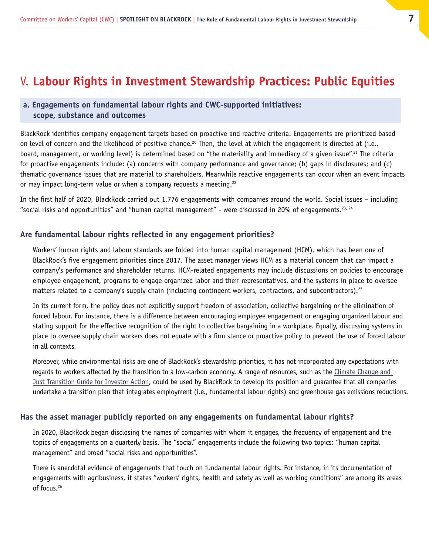# <span id="page-6-0"></span>V. **Labour Rights in Investment Stewardship Practices: Public Equities**

#### **a. Engagements on fundamental labour rights and CWC-supported initiatives: scope, substance and outcomes**

BlackRock identifies company engagement targets based on proactive and reactive criteria. Engagements are prioritized based on level of concern and the likelihood of positive change.<sup>20</sup> Then, the level at which the engagement is directed at (i.e., board, management, or working level) is determined based on "the materiality and immediacy of a given issue".<sup>21</sup> The criteria for proactive engagements include: (a) concerns with company performance and governance; (b) gaps in disclosures; and (c) thematic governance issues that are material to shareholders. Meanwhile reactive engagements can occur when an event impacts or may impact long-term value or when a company requests a meeting. $22$ 

In the first half of 2020, BlackRock carried out 1,776 engagements with companies around the world. Social issues – including "social risks and opportunities" and "human capital management" - were discussed in 20% of engagements.<sup>23, 24</sup>

#### **Are fundamental labour rights reflected in any engagement priorities?**

Workers' human rights and labour standards are folded into human capital management (HCM), which has been one of BlackRock's five engagement priorities since 2017. The asset manager views HCM as a material concern that can impact a company's performance and shareholder returns. HCM-related engagements may include discussions on policies to encourage employee engagement, programs to engage organized labor and their representatives, and the systems in place to oversee matters related to a company's supply chain (including contingent workers, contractors, and subcontractors).25

In its current form, the policy does not explicitly support freedom of association, collective bargaining or the elimination of forced labour. For instance, there is a difference between encouraging employee engagement or engaging organized labour and stating support for the effective recognition of the right to collective bargaining in a workplace. Equally, discussing systems in place to oversee supply chain workers does not equate with a firm stance or proactive policy to prevent the use of forced labour in all contexts.

Moreover, while environmental risks are one of BlackRock's stewardship priorities, it has not incorporated any expectations with regards to workers affected by the transition to a low-carbon economy. A range of resources, such as the [Climate Change and](https://www.unpri.org/academic-research/climate-change-and-the-just-transition-a-guide-for-investor-action/3202.article)  [Just Transition Guide for Investor Action](https://www.unpri.org/academic-research/climate-change-and-the-just-transition-a-guide-for-investor-action/3202.article), could be used by BlackRock to develop its position and guarantee that all companies undertake a transition plan that integrates employment (i.e., fundamental labour rights) and greenhouse gas emissions reductions.

#### **Has the asset manager publicly reported on any engagements on fundamental labour rights?**

In 2020, BlackRock began disclosing the names of companies with whom it engages, the frequency of engagement and the topics of engagements on a quarterly basis. The "social" engagements include the following two topics: "human capital management" and broad "social risks and opportunities".

There is anecdotal evidence of engagements that touch on fundamental labour rights. For instance, in its documentation of engagements with agribusiness, it states "workers' rights, health and safety as well as working conditions" are among its areas of focus.<sup>26</sup>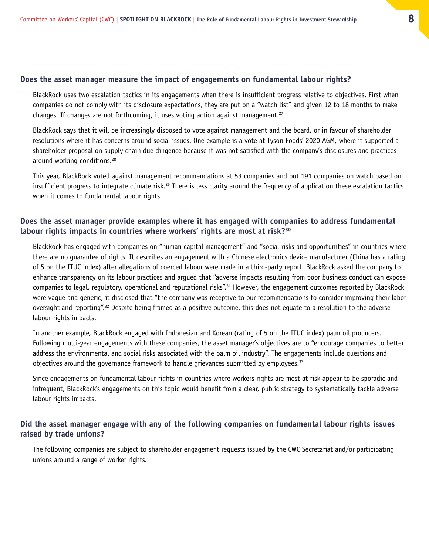#### **Does the asset manager measure the impact of engagements on fundamental labour rights?**

BlackRock uses two escalation tactics in its engagements when there is insufficient progress relative to objectives. First when companies do not comply with its disclosure expectations, they are put on a "watch list" and given 12 to 18 months to make changes. If changes are not forthcoming, it uses voting action against management.<sup>27</sup>

BlackRock says that it will be increasingly disposed to vote against management and the board, or in favour of shareholder resolutions where it has concerns around social issues. One example is a vote at Tyson Foods' 2020 AGM, where it supported a shareholder proposal on supply chain due diligence because it was not satisfied with the company's disclosures and practices around working conditions.<sup>28</sup>

This year, BlackRock voted against management recommendations at 53 companies and put 191 companies on watch based on insufficient progress to integrate climate risk.<sup>29</sup> There is less clarity around the frequency of application these escalation tactics when it comes to fundamental labour rights.

#### **Does the asset manager provide examples where it has engaged with companies to address fundamental labour rights impacts in countries where workers' rights are most at risk?30**

BlackRock has engaged with companies on "human capital management" and "social risks and opportunities" in countries where there are no guarantee of rights. It describes an engagement with a Chinese electronics device manufacturer (China has a rating of 5 on the ITUC index) after allegations of coerced labour were made in a third-party report. BlackRock asked the company to enhance transparency on its labour practices and argued that "adverse impacts resulting from poor business conduct can expose companies to legal, regulatory, operational and reputational risks".31 However, the engagement outcomes reported by BlackRock were vague and generic; it disclosed that "the company was receptive to our recommendations to consider improving their labor oversight and reporting".32 Despite being framed as a positive outcome, this does not equate to a resolution to the adverse labour rights impacts.

In another example, BlackRock engaged with Indonesian and Korean (rating of 5 on the ITUC index) palm oil producers. Following multi-year engagements with these companies, the asset manager's objectives are to "encourage companies to better address the environmental and social risks associated with the palm oil industry". The engagements include questions and objectives around the governance framework to handle grievances submitted by employees.<sup>33</sup>

Since engagements on fundamental labour rights in countries where workers rights are most at risk appear to be sporadic and infrequent, BlackRock's engagements on this topic would benefit from a clear, public strategy to systematically tackle adverse labour rights impacts.

#### **Did the asset manager engage with any of the following companies on fundamental labour rights issues raised by trade unions?**

The following companies are subject to shareholder engagement requests issued by the CWC Secretariat and/or participating unions around a range of worker rights.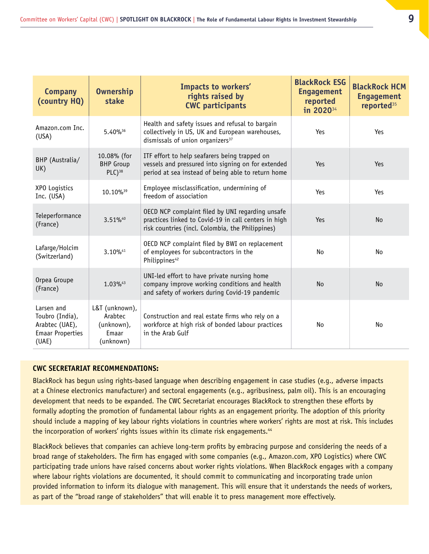| <b>Company</b><br>(country HQ)                                                      | <b>Ownership</b><br>stake                                     | Impacts to workers'<br>rights raised by<br><b>CWC participants</b>                                                                                           | <b>BlackRock ESG</b><br><b>Engagement</b><br>reported<br>in 2020 <sup>34</sup> | <b>BlackRock HCM</b><br><b>Engagement</b><br>reported <sup>35</sup> |
|-------------------------------------------------------------------------------------|---------------------------------------------------------------|--------------------------------------------------------------------------------------------------------------------------------------------------------------|--------------------------------------------------------------------------------|---------------------------------------------------------------------|
| Amazon.com Inc.<br>(USA)                                                            | 5.40%36                                                       | Health and safety issues and refusal to bargain<br>collectively in US, UK and European warehouses,<br>dismissals of union organizers <sup>37</sup>           | Yes                                                                            | Yes                                                                 |
| BHP (Australia/<br>UK)                                                              | 10.08% (for<br><b>BHP</b> Group<br>$PLC)^{38}$                | ITF effort to help seafarers being trapped on<br>vessels and pressured into signing on for extended<br>period at sea instead of being able to return home    | Yes                                                                            | Yes                                                                 |
| XPO Logistics<br>Inc. (USA)                                                         | 10.10% <sup>39</sup>                                          | Employee misclassification, undermining of<br>freedom of association                                                                                         | Yes                                                                            | Yes                                                                 |
| Teleperformance<br>3.51%40<br>(France)                                              |                                                               | OECD NCP complaint filed by UNI regarding unsafe<br>practices linked to Covid-19 in call centers in high<br>risk countries (incl. Colombia, the Philippines) | Yes                                                                            | <b>No</b>                                                           |
| Lafarge/Holcim<br>(Switzerland)                                                     | 3.10%41                                                       | OECD NCP complaint filed by BWI on replacement<br>of employees for subcontractors in the<br>Philippines <sup>42</sup>                                        | No                                                                             | No                                                                  |
| Orpea Groupe<br>(France)                                                            | 1.03%43                                                       | UNI-led effort to have private nursing home<br>company improve working conditions and health<br>and safety of workers during Covid-19 pandemic               | <b>No</b>                                                                      | <b>No</b>                                                           |
| Larsen and<br>Toubro (India),<br>Arabtec (UAE),<br><b>Emaar Properties</b><br>(UAE) | L&T (unknown),<br>Arabtec<br>(unknown),<br>Emaar<br>(unknown) | Construction and real estate firms who rely on a<br>workforce at high risk of bonded labour practices<br>in the Arab Gulf                                    | No                                                                             | <b>No</b>                                                           |

#### **CWC SECRETARIAT RECOMMENDATIONS:**

BlackRock has begun using rights-based language when describing engagement in case studies (e.g., adverse impacts at a Chinese electronics manufacturer) and sectoral engagements (e.g., agribusiness, palm oil). This is an encouraging development that needs to be expanded. The CWC Secretariat encourages BlackRock to strengthen these efforts by formally adopting the promotion of fundamental labour rights as an engagement priority. The adoption of this priority should include a mapping of key labour rights violations in countries where workers' rights are most at risk. This includes the incorporation of workers' rights issues within its climate risk engagements.<sup>44</sup>

BlackRock believes that companies can achieve long-term profits by embracing purpose and considering the needs of a broad range of stakeholders. The firm has engaged with some companies (e.g., Amazon.com, XPO Logistics) where CWC participating trade unions have raised concerns about worker rights violations. When BlackRock engages with a company where labour rights violations are documented, it should commit to communicating and incorporating trade union provided information to inform its dialogue with management. This will ensure that it understands the needs of workers, as part of the "broad range of stakeholders" that will enable it to press management more effectively.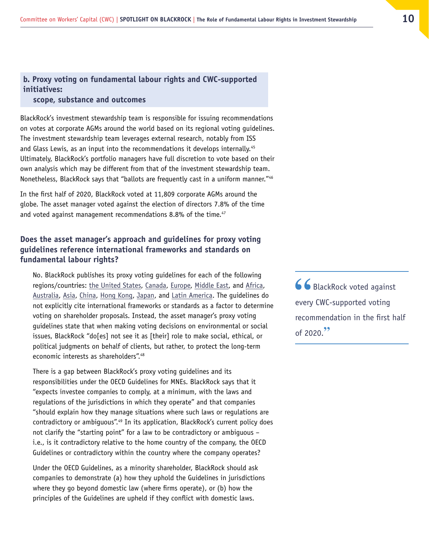#### **b. Proxy voting on fundamental labour rights and CWC-supported initiatives: scope, substance and outcomes**

BlackRock's investment stewardship team is responsible for issuing recommendations on votes at corporate AGMs around the world based on its regional voting guidelines. The investment stewardship team leverages external research, notably from ISS and Glass Lewis, as an input into the recommendations it develops internally.<sup>45</sup> Ultimately, BlackRock's portfolio managers have full discretion to vote based on their own analysis which may be different from that of the investment stewardship team. Nonetheless, BlackRock says that "ballots are frequently cast in a uniform manner."46

In the first half of 2020, BlackRock voted at 11,809 corporate AGMs around the globe. The asset manager voted against the election of directors 7.8% of the time and voted against management recommendations 8.8% of the time.<sup>47</sup>

#### **Does the asset manager's approach and guidelines for proxy voting guidelines reference international frameworks and standards on fundamental labour rights?**

No. BlackRock publishes its proxy voting guidelines for each of the following regions/countries: [the United States](https://www.blackrock.com/corporate/literature/fact-sheet/blk-responsible-investment-guidelines-us.pdf), [Canada](https://www.blackrock.com/corporate/literature/fact-sheet/blk-responsible-investment-guidelines-canada.pdf), [Europe,](https://www.blackrock.com/corporate/literature/fact-sheet/blk-responsible-investment-guidelines-emea.pdf) [Middle East](https://www.blackrock.com/corporate/literature/fact-sheet/blk-responsible-investment-guidelines-emea.pdf), and [Africa](https://www.blackrock.com/corporate/literature/fact-sheet/blk-responsible-investment-guidelines-emea.pdf), [Australia,](https://www.blackrock.com/corporate/literature/fact-sheet/blk-responsible-investment-guidelines-austrailia.pdf) [Asia](https://www.blackrock.com/corporate/literature/fact-sheet/blk-responsible-investment-guidelines-asiaxjapan.pdf), [China,](https://www.blackrock.com/corporate/literature/publication/blk-corporate-governance-and-proxy-voting-guidelines-for-chinese-securities.pdf) [Hong Kong](https://www.blackrock.com/corporate/literature/fact-sheet/blk-investment-stewardship-guidelines-hong-kong.pdf), [Japan](https://www.blackrock.com/corporate/literature/fact-sheet/blk-responsible-investment-guidelines-japan.pdf), and [Latin America](https://www.blackrock.com/corporate/literature/fact-sheet/blk-responsible-investment-guidelines-latam.pdf). The guidelines do not explicitly cite international frameworks or standards as a factor to determine voting on shareholder proposals. Instead, the asset manager's proxy voting guidelines state that when making voting decisions on environmental or social issues, BlackRock "do[es] not see it as [their] role to make social, ethical, or political judgments on behalf of clients, but rather, to protect the long-term economic interests as shareholders".<sup>48</sup>

There is a gap between BlackRock's proxy voting guidelines and its responsibilities under the OECD Guidelines for MNEs. BlackRock says that it "expects investee companies to comply, at a minimum, with the laws and regulations of the jurisdictions in which they operate" and that companies "should explain how they manage situations where such laws or regulations are contradictory or ambiguous".49 In its application, BlackRock's current policy does not clarify the "starting point" for a law to be contradictory or ambiguous – i.e., is it contradictory relative to the home country of the company, the OECD Guidelines or contradictory within the country where the company operates?

Under the OECD Guidelines, as a minority shareholder, BlackRock should ask companies to demonstrate (a) how they uphold the Guidelines in jurisdictions where they go beyond domestic law (where firms operate), or (b) how the principles of the Guidelines are upheld if they conflict with domestic laws.

66 BlackRock voted against every CWC-supported voting recommendation in the first half of 2020.**"**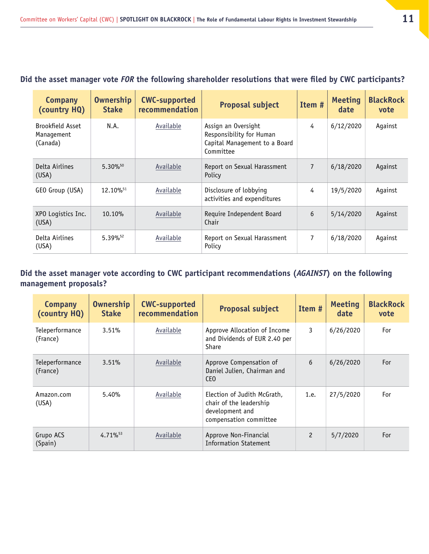#### <span id="page-10-0"></span>**Did the asset manager vote** *FOR* **the following shareholder resolutions that were filed by CWC participants?**

| <b>Company</b><br>(country HQ)                    | <b>Ownership</b><br><b>Stake</b> | <b>CWC-supported</b><br>recommendation | Proposal subject                                                                              | Item #         | <b>Meeting</b><br>date | <b>BlackRock</b><br>vote |
|---------------------------------------------------|----------------------------------|----------------------------------------|-----------------------------------------------------------------------------------------------|----------------|------------------------|--------------------------|
| <b>Brookfield Asset</b><br>Management<br>(Canada) | N.A.                             | Available                              | Assign an Oversight<br>Responsibility for Human<br>Capital Management to a Board<br>Committee | 4              | 6/12/2020              | Against                  |
| Delta Airlines<br>(USA)                           | $5.30\%^{50}$                    | Available                              | Report on Sexual Harassment<br>Policy                                                         | $\overline{7}$ | 6/18/2020              | Against                  |
| GEO Group (USA)                                   | 12.10% <sup>51</sup>             | Available                              | Disclosure of lobbying<br>activities and expenditures                                         | 4              | 19/5/2020              | Against                  |
| XPO Logistics Inc.<br>(USA)                       | 10.10%                           | Available                              | Require Independent Board<br>Chair                                                            | 6              | 5/14/2020              | Against                  |
| Delta Airlines<br>(USA)                           | $5.39\%$ <sup>52</sup>           | Available                              | Report on Sexual Harassment<br>Policy                                                         | 7              | 6/18/2020              | Against                  |

#### **Did the asset manager vote according to CWC participant recommendations (***AGAINST***) on the following management proposals?**

| <b>Company</b><br>(country HQ) | <b>Ownership</b><br><b>Stake</b> | <b>CWC-supported</b><br>recommendation | <b>Proposal subject</b>                                                                             | Item #         | <b>Meeting</b><br>date | <b>BlackRock</b><br>vote |
|--------------------------------|----------------------------------|----------------------------------------|-----------------------------------------------------------------------------------------------------|----------------|------------------------|--------------------------|
| Teleperformance<br>(France)    | 3.51%                            | Available                              | Approve Allocation of Income<br>and Dividends of EUR 2.40 per<br>Share                              | 3              | 6/26/2020              | For                      |
| Teleperformance<br>(France)    | 3.51%                            | Available                              | Approve Compensation of<br>Daniel Julien, Chairman and<br>CEO                                       | 6              | 6/26/2020              | For                      |
| Amazon.com<br>(USA)            | 5.40%                            | Available                              | Election of Judith McGrath,<br>chair of the leadership<br>development and<br>compensation committee | 1.e.           | 27/5/2020              | For                      |
| Grupo ACS<br>(Spain)           | $4.71\%^{53}$                    | Available                              | Approve Non-Financial<br><b>Information Statement</b>                                               | $\overline{c}$ | 5/7/2020               | For                      |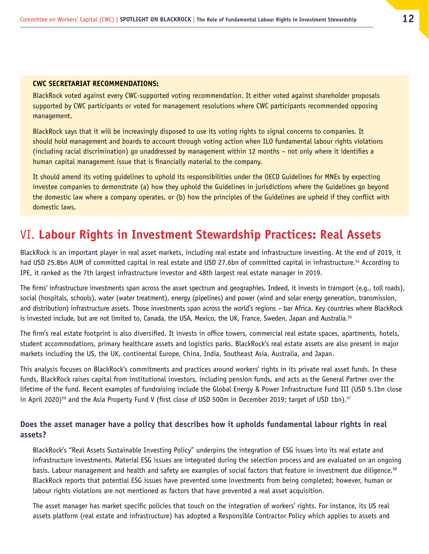#### <span id="page-11-0"></span>**CWC SECRETARIAT RECOMMENDATIONS:**

BlackRock voted against every CWC-supported voting recommendation. It either voted against shareholder proposals supported by CWC participants or voted for management resolutions where CWC participants recommended opposing management.

BlackRock says that it will be increasingly disposed to use its voting rights to signal concerns to companies. It should hold management and boards to account through voting action when ILO fundamental labour rights violations (including racial discrimination) go unaddressed by management within 12 months – not only where it identifies a human capital management issue that is financially material to the company.

It should amend its voting guidelines to uphold its responsibilities under the OECD Guidelines for MNEs by expecting investee companies to demonstrate (a) how they uphold the Guidelines in jurisdictions where the Guidelines go beyond the domestic law where a company operates, or (b) how the principles of the Guidelines are upheld if they conflict with domestic laws.

# VI. **Labour Rights in Investment Stewardship Practices: Real Assets**

BlackRock is an important player in real asset markets, including real estate and infrastructure investing. At the end of 2019, it had USD 25.8bn AUM of committed capital in real estate and USD 27.6bn of committed capital in infrastructure.<sup>54</sup> According to IPE, it ranked as the 7th largest infrastructure investor and 48th largest real estate manager in 2019.

The firms' infrastructure investments span across the asset spectrum and geographies. Indeed, it invests in transport (e.g., toll roads), social (hospitals, schools), water (water treatment), energy (pipelines) and power (wind and solar energy generation, transmission, and distribution) infrastructure assets. Those investments span across the world's regions – bar Africa. Key countries where BlackRock is invested include, but are not limited to, Canada, the USA, Mexico, the UK, France, Sweden, Japan and Australia.<sup>55</sup>

The firm's real estate footprint is also diversified. It invests in office towers, commercial real estate spaces, apartments, hotels, student accommodations, primary healthcare assets and logistics parks. BlackRock's real estate assets are also present in major markets including the US, the UK, continental Europe, China, India, Southeast Asia, Australia, and Japan.

This analysis focuses on BlackRock's commitments and practices around workers' rights in its private real asset funds. In these funds, BlackRock raises capital from institutional investors, including pension funds, and acts as the General Partner over the lifetime of the fund. Recent examples of fundraising include the Global Energy & Power Infrastructure Fund III (USD 5.1bn close in April 2020)<sup>56</sup> and the Asia Property Fund V (first close of USD 500m in December 2019; target of USD 1bn).<sup>57</sup>

#### **Does the asset manager have a policy that describes how it upholds fundamental labour rights in real assets?**

BlackRock's "Real Assets Sustainable Investing Policy" underpins the integration of ESG issues into its real estate and infrastructure investments. Material ESG issues are integrated during the selection process and are evaluated on an ongoing basis. Labour management and health and safety are examples of social factors that feature in investment due diligence.<sup>58</sup> BlackRock reports that potential ESG issues have prevented some investments from being completed; however, human or labour rights violations are not mentioned as factors that have prevented a real asset acquisition.

The asset manager has market specific policies that touch on the integration of workers' rights. For instance, its US real assets platform (real estate and infrastructure) has adopted a Responsible Contractor Policy which applies to assets and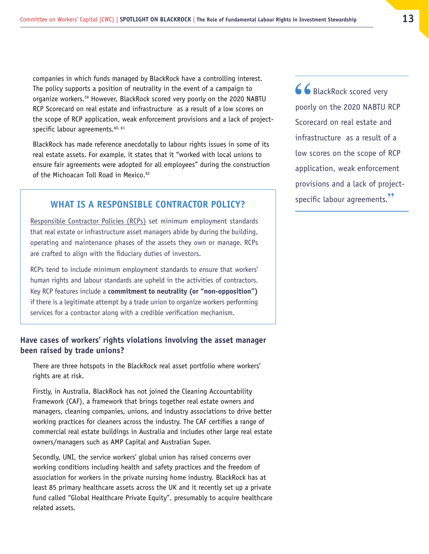companies in which funds managed by BlackRock have a controlling interest. The policy supports a position of neutrality in the event of a campaign to organize workers.<sup>59</sup> However, BlackRock scored very poorly on the 2020 NABTU RCP Scorecard on real estate and infrastructure as a result of a low scores on the scope of RCP application, weak enforcement provisions and a lack of projectspecific labour agreements.<sup>60, 61</sup>

BlackRock has made reference anecdotally to labour rights issues in some of its real estate assets. For example, it states that it "worked with local unions to ensure fair agreements were adopted for all employees" during the construction of the Michoacan Toll Road in Mexico.<sup>62</sup>

#### **WHAT IS A RESPONSIBLE CONTRACTOR POLICY?**

[Responsible Contractor Policies \(RCPs\)](https://nabtu.org/wp-content/uploads/2020/09/RCP-Description-of-Terms.pdf) set minimum employment standards that real estate or infrastructure asset managers abide by during the building, operating and maintenance phases of the assets they own or manage. RCPs are crafted to align with the fiduciary duties of investors.

RCPs tend to include minimum employment standards to ensure that workers' human rights and labour standards are upheld in the activities of contractors. Key RCP features include a **commitment to neutrality (or "non-opposition")** if there is a legitimate attempt by a trade union to organize workers performing services for a contractor along with a credible verification mechanism.

#### **Have cases of workers' rights violations involving the asset manager been raised by trade unions?**

There are three hotspots in the BlackRock real asset portfolio where workers' rights are at risk.

Firstly, in Australia, BlackRock has not joined the Cleaning Accountability Framework (CAF), a framework that brings together real estate owners and managers, cleaning companies, unions, and industry associations to drive better working practices for cleaners across the industry. The CAF certifies a range of commercial real estate buildings in Australia and includes other large real estate owners/managers such as AMP Capital and Australian Super.

Secondly, UNI, the service workers' global union has raised concerns over working conditions including health and safety practices and the freedom of association for workers in the private nursing home industry. BlackRock has at least 85 primary healthcare assets across the UK and it recently set up a private fund called "Global Healthcare Private Equity", presumably to acquire healthcare related assets.

66 BlackRock scored very poorly on the 2020 NABTU RCP Scorecard on real estate and infrastructure as a result of a low scores on the scope of RCP application, weak enforcement provisions and a lack of projectspecific labour agreements.**"**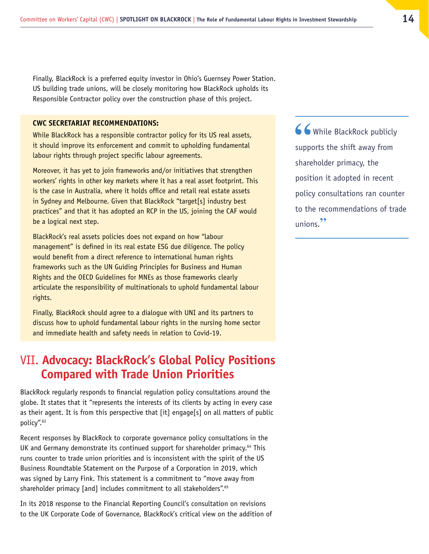<span id="page-13-0"></span>Finally, BlackRock is a preferred equity investor in Ohio's Guernsey Power Station. US building trade unions, will be closely monitoring how BlackRock upholds its Responsible Contractor policy over the construction phase of this project.

#### **CWC SECRETARIAT RECOMMENDATIONS:**

While BlackRock has a responsible contractor policy for its US real assets, it should improve its enforcement and commit to upholding fundamental labour rights through project specific labour agreements.

Moreover, it has yet to join frameworks and/or initiatives that strengthen workers' rights in other key markets where it has a real asset footprint. This is the case in Australia, where it holds office and retail real estate assets in Sydney and Melbourne. Given that BlackRock "target[s] industry best practices" and that it has adopted an RCP in the US, joining the CAF would be a logical next step.

BlackRock's real assets policies does not expand on how "labour management" is defined in its real estate ESG due diligence. The policy would benefit from a direct reference to international human rights frameworks such as the UN Guiding Principles for Business and Human Rights and the OECD Guidelines for MNEs as those frameworks clearly articulate the responsibility of multinationals to uphold fundamental labour rights.

Finally, BlackRock should agree to a dialogue with UNI and its partners to discuss how to uphold fundamental labour rights in the nursing home sector and immediate health and safety needs in relation to Covid-19.

# VII. **Advocacy: BlackRock's Global Policy Positions Compared with Trade Union Priorities**

BlackRock regularly responds to financial regulation policy consultations around the globe. It states that it "represents the interests of its clients by acting in every case as their agent. It is from this perspective that [it] engage[s] on all matters of public policy".63

Recent responses by BlackRock to corporate governance policy consultations in the UK and Germany demonstrate its continued support for shareholder primacy.<sup>64</sup> This runs counter to trade union priorities and is inconsistent with the spirit of the US Business Roundtable Statement on the Purpose of a Corporation in 2019, which was signed by Larry Fink. This statement is a commitment to "move away from shareholder primacy [and] includes commitment to all stakeholders".<sup>65</sup>

In its 2018 response to the Financial Reporting Council's consultation on revisions to the UK Corporate Code of Governance, BlackRock's critical view on the addition of 66 While BlackRock publicly supports the shift away from shareholder primacy, the position it adopted in recent policy consultations ran counter to the recommendations of trade unions.**"**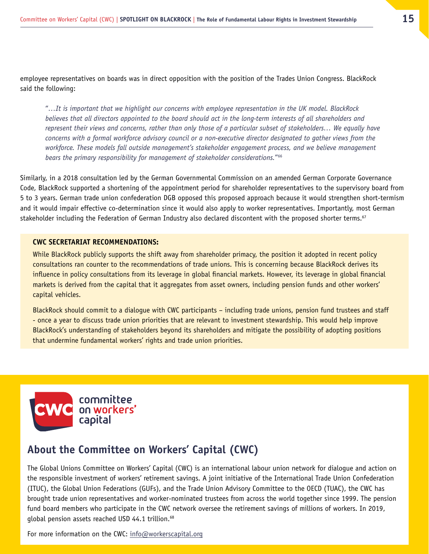employee representatives on boards was in direct opposition with the position of the Trades Union Congress. BlackRock said the following:

"*…It is important that we highlight our concerns with employee representation in the UK model. BlackRock*  believes that all directors appointed to the board should act in the long-term interests of all shareholders and *represent their views and concerns, rather than only those of a particular subset of stakeholders… We equally have concerns with a formal workforce advisory council or a non-executive director designated to gather views from the workforce. These models fall outside management's stakeholder engagement process, and we believe management bears the primary responsibility for management of stakeholder considerations.*"66

Similarly, in a 2018 consultation led by the German Governmental Commission on an amended German Corporate Governance Code, BlackRock supported a shortening of the appointment period for shareholder representatives to the supervisory board from 5 to 3 years. German trade union confederation DGB opposed this proposed approach because it would strengthen short-termism and it would impair effective co-determination since it would also apply to worker representatives. Importantly, most German stakeholder including the Federation of German Industry also declared discontent with the proposed shorter terms.<sup>67</sup>

#### **CWC SECRETARIAT RECOMMENDATIONS:**

While BlackRock publicly supports the shift away from shareholder primacy, the position it adopted in recent policy consultations ran counter to the recommendations of trade unions. This is concerning because BlackRock derives its influence in policy consultations from its leverage in global financial markets. However, its leverage in global financial markets is derived from the capital that it aggregates from asset owners, including pension funds and other workers' capital vehicles.

BlackRock should commit to a dialogue with CWC participants – including trade unions, pension fund trustees and staff - once a year to discuss trade union priorities that are relevant to investment stewardship. This would help improve BlackRock's understanding of stakeholders beyond its shareholders and mitigate the possibility of adopting positions that undermine fundamental workers' rights and trade union priorities.



## **About the Committee on Workers' Capital (CWC)**

The Global Unions Committee on Workers' Capital (CWC) is an international labour union network for dialogue and action on the responsible investment of workers' retirement savings. A joint initiative of the International Trade Union Confederation (ITUC), the Global Union Federations (GUFs), and the Trade Union Advisory Committee to the OECD (TUAC), the CWC has brought trade union representatives and worker-nominated trustees from across the world together since 1999. The pension fund board members who participate in the CWC network oversee the retirement savings of millions of workers. In 2019, global pension assets reached USD 44.1 trillion.<sup>68</sup>

For more information on the CWC: [info@workerscapital.org](mailto:info@workerscapital.org)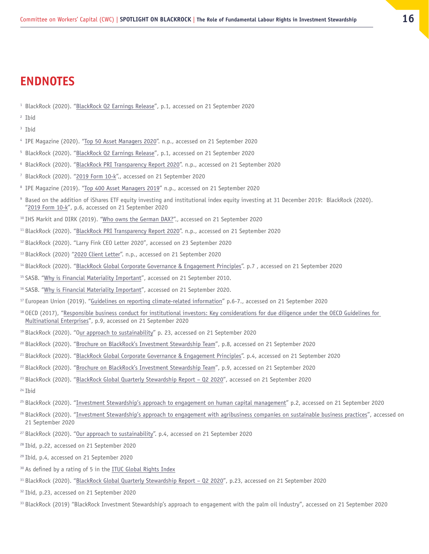# <span id="page-15-0"></span>**ENDNOTES**

- BlackRock (2020). "[BlackRock Q2 Earnings Release](https://s24.q4cdn.com/856567660/files/doc_financials/2020/Q2/BLK-2Q20-Earnings-Release.pdf)", p.1, accessed on 21 September 2020
- Ibid
- Ibid
- <sup>4</sup> IPE Magazine (2020). ["Top 50 Asset Managers 2020](https://www.ipe.com/reports/top-500-asset-managers-2020/10045925.article)". n.p., accessed on 21 September 2020
- BlackRock (2020). "[BlackRock Q2 Earnings Release](https://s24.q4cdn.com/856567660/files/doc_financials/2020/Q2/BLK-2Q20-Earnings-Release.pdf)", p.1, accessed on 21 September 2020
- BlackRock (2020). "[BlackRock PRI Transparency Report 2020](https://reporting.unpri.org/surveys/PRI-reporting-framework-2020/930D18CB-21E3-4F36-96C6-FB692FF6A030/b8be094467a0406ead601634b02a60c6/html/2/?lang=en&a=1)". n.p., accessed on 21 September 2020
- BlackRock (2020). "[2019 Form 10-k"](#page-5-0)., accessed on 21 September 2020
- <sup>8</sup> IPE Magazine (2019). ["Top 400 Asset Managers 2019"](https://www.ipe.com/Uploads/j/e/b/Top-400-Asset-Managers-2019.pdf) n.p., accessed on 21 September 2020
- <sup>9</sup> Based on the addition of iShares ETF equity investing and institutional index equity investing at 31 December 2019: BlackRock (2020). "[2019 Form 10-k"](https://d18rn0p25nwr6d.cloudfront.net/CIK-0001364742/d0630079-2312-49ea-a783-5c96a18ee884.pdf), p.6, accessed on 21 September 2020
- IHS Markit and DIRK (2019). "[Who owns the German DAX?"](#page-10-0)., accessed on 21 September 2020
- BlackRock (2020). "[BlackRock PRI Transparency Report 2020](https://reporting.unpri.org/surveys/PRI-reporting-framework-2020/930D18CB-21E3-4F36-96C6-FB692FF6A030/b8be094467a0406ead601634b02a60c6/html/2/?lang=en&a=1)". n.p., accessed on 21 September 2020
- BlackRock (2020). "Larry Fink CEO Letter 2020", accessed on 23 September 2020
- BlackRock (2020) "[2020 Client Letter](https://www.blackrock.com/corporate/investor-relations/blackrock-client-letter)". n.p., accessed on 21 September 2020
- BlackRock (2020). "[BlackRock Global Corporate Governance & Engagement Principles"](https://www.blackrock.com/corporate/literature/fact-sheet/blk-responsible-investment-engprinciples-global.pdf). p.7 , accessed on 21 September 2020
- SASB. "[Why is Financial Materiality Important"](https://www.sasb.org/standards-overview/materiality-map/#:~:text=Why%20is%20Financial%20Materiality%20important%3F&text=SASB%20identifies%20financially%20material%20issues,are%20most%20important%20to%20investors.), accessed on 21 September 2010.
- <sup>16</sup> SASB. "[Why is Financial Materiality Important"](https://www.sasb.org/standards-overview/materiality-map/#:~:text=Why%20is%20Financial%20Materiality%20important%3F&text=SASB%20identifies%20financially%20material%20issues,are%20most%20important%20to%20investors.), accessed on 21 September 2020.
- European Union (2019). "[Guidelines on reporting climate-related information](https://ec.europa.eu/finance/docs/policy/190618-climate-related-information-reporting-guidelines_en.pdf)" p.6-7., accessed on 21 September 2020
- <sup>18</sup> OECD (2017), "Responsible business conduct for institutional investors: Key considerations for due diligence under the OECD Guidelines for [Multinational Enterprises"](https://mneguidelines.oecd.org/RBC-for-Institutional-Investors.pdf), p.9, accessed on 21 September 2020
- BlackRock (2020). "O[ur approach to sustainability"](https://www.blackrock.com/corporate/literature/publication/our-commitment-to-sustainability-full-report.pdf) p. 23, accessed on 21 September 2020
- BlackRock (2020). "[Brochure on BlackRock's Investment Stewardship Team"](https://www.blackrock.com/corporate/literature/publication/blk-profile-of-BlackRock-investment-stewardship-team-work.pdf), p.8, accessed on 21 September 2020
- BlackRock (2020). "[BlackRock Global Corporate Governance & Engagement Principles"](https://www.blackrock.com/corporate/literature/fact-sheet/blk-responsible-investment-engprinciples-global.pdf). p.4, accessed on 21 September 2020
- BlackRock (2020). "[Brochure on BlackRock's Investment Stewardship Team"](https://www.blackrock.com/corporate/literature/publication/blk-profile-of-BlackRock-investment-stewardship-team-work.pdf), p.9, accessed on 21 September 2020
- BlackRock (2020). "[BlackRock Global Quarterly Stewardship Report Q2 2020"](https://www.blackrock.com/corporate/literature/publication/blk-qrtly-stewardship-report-q2-2020.pdf), accessed on 21 September 2020
- Ibid
- BlackRock (2020). "[Investment Stewardship's approach to engagement on human capital management](https://www.blackrock.com/corporate/literature/publication/blk-commentary-engagement-on-human-capital.pdf)" p.2, accessed on 21 September 2020
- <sup>26</sup> BlackRock (2020). "[Investment Stewardship's approach to engagement with agribusiness companies on sustainable business practices](#page-1-0)", accessed on 21 September 2020
- BlackRock (2020). "[Our approach to sustainability"](https://www.blackrock.com/corporate/literature/publication/our-commitment-to-sustainability-full-report.pdf). p.4, accessed on 21 September 2020
- <sup>28</sup> Ibid, p.22, accessed on 21 September 2020
- Ibid, p.4, accessed on 21 September 2020
- <sup>30</sup> As defined by a rating of 5 in the [ITUC Global Rights Index](https://www.ituc-csi.org/ituc-global-rights-index-2020)
- BlackRock (2020). "[BlackRock Global Quarterly Stewardship Report Q2 2020"](https://www.blackrock.com/corporate/literature/publication/blk-qrtly-stewardship-report-q2-2020.pdf), p.23, accessed on 21 September 2020
- <sup>32</sup> Ibid, p.23, accessed on 21 September 2020
- <sup>33</sup> BlackRock (2019) "BlackRock Investment Stewardship's approach to engagement with the palm oil industry", accessed on 21 September 2020